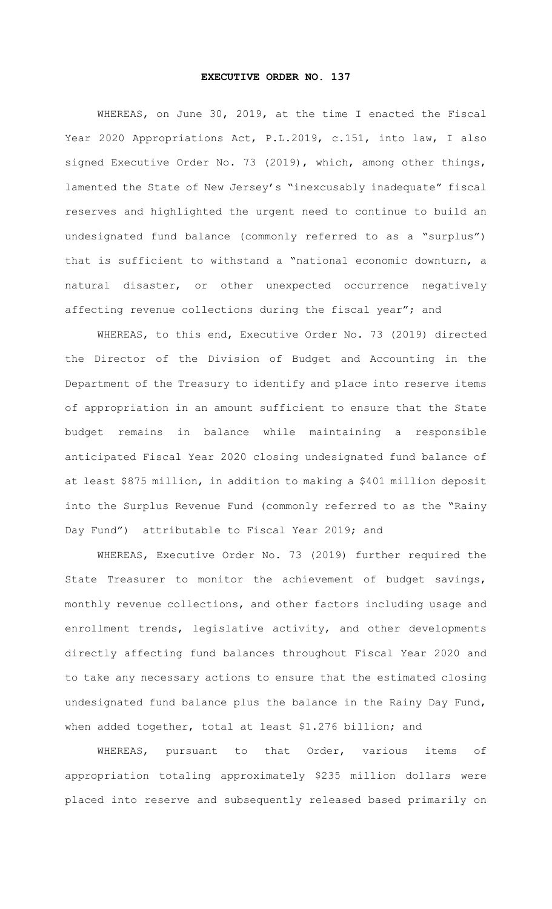## **EXECUTIVE ORDER NO. 137**

WHEREAS, on June 30, 2019, at the time I enacted the Fiscal Year 2020 Appropriations Act, P.L.2019, c.151, into law, I also signed Executive Order No. 73 (2019), which, among other things, lamented the State of New Jersey's "inexcusably inadequate" fiscal reserves and highlighted the urgent need to continue to build an undesignated fund balance (commonly referred to as a "surplus") that is sufficient to withstand a "national economic downturn, a natural disaster, or other unexpected occurrence negatively affecting revenue collections during the fiscal year"; and

WHEREAS, to this end, Executive Order No. 73 (2019) directed the Director of the Division of Budget and Accounting in the Department of the Treasury to identify and place into reserve items of appropriation in an amount sufficient to ensure that the State budget remains in balance while maintaining a responsible anticipated Fiscal Year 2020 closing undesignated fund balance of at least \$875 million, in addition to making a \$401 million deposit into the Surplus Revenue Fund (commonly referred to as the "Rainy Day Fund") attributable to Fiscal Year 2019; and

WHEREAS, Executive Order No. 73 (2019) further required the State Treasurer to monitor the achievement of budget savings, monthly revenue collections, and other factors including usage and enrollment trends, legislative activity, and other developments directly affecting fund balances throughout Fiscal Year 2020 and to take any necessary actions to ensure that the estimated closing undesignated fund balance plus the balance in the Rainy Day Fund, when added together, total at least \$1.276 billion; and

WHEREAS, pursuant to that Order, various items of appropriation totaling approximately \$235 million dollars were placed into reserve and subsequently released based primarily on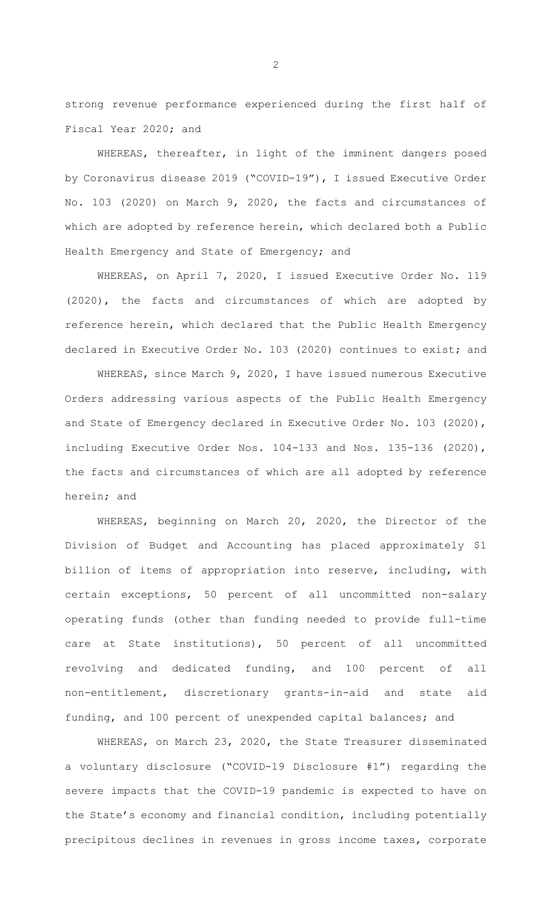strong revenue performance experienced during the first half of Fiscal Year 2020; and

WHEREAS, thereafter, in light of the imminent dangers posed by Coronavirus disease 2019 ("COVID-19"), I issued Executive Order No. 103 (2020) on March 9, 2020, the facts and circumstances of which are adopted by reference herein, which declared both a Public Health Emergency and State of Emergency; and

WHEREAS, on April 7, 2020, I issued Executive Order No. 119 (2020), the facts and circumstances of which are adopted by reference herein, which declared that the Public Health Emergency declared in Executive Order No. 103 (2020) continues to exist; and

WHEREAS, since March 9, 2020, I have issued numerous Executive Orders addressing various aspects of the Public Health Emergency and State of Emergency declared in Executive Order No. 103 (2020), including Executive Order Nos. 104-133 and Nos. 135-136 (2020), the facts and circumstances of which are all adopted by reference herein; and

WHEREAS, beginning on March 20, 2020, the Director of the Division of Budget and Accounting has placed approximately \$1 billion of items of appropriation into reserve, including, with certain exceptions, 50 percent of all uncommitted non-salary operating funds (other than funding needed to provide full-time care at State institutions), 50 percent of all uncommitted revolving and dedicated funding, and 100 percent of all non-entitlement, discretionary grants-in-aid and state aid funding, and 100 percent of unexpended capital balances; and

WHEREAS, on March 23, 2020, the State Treasurer disseminated a voluntary disclosure ("COVID-19 Disclosure #1") regarding the severe impacts that the COVID-19 pandemic is expected to have on the State's economy and financial condition, including potentially precipitous declines in revenues in gross income taxes, corporate

2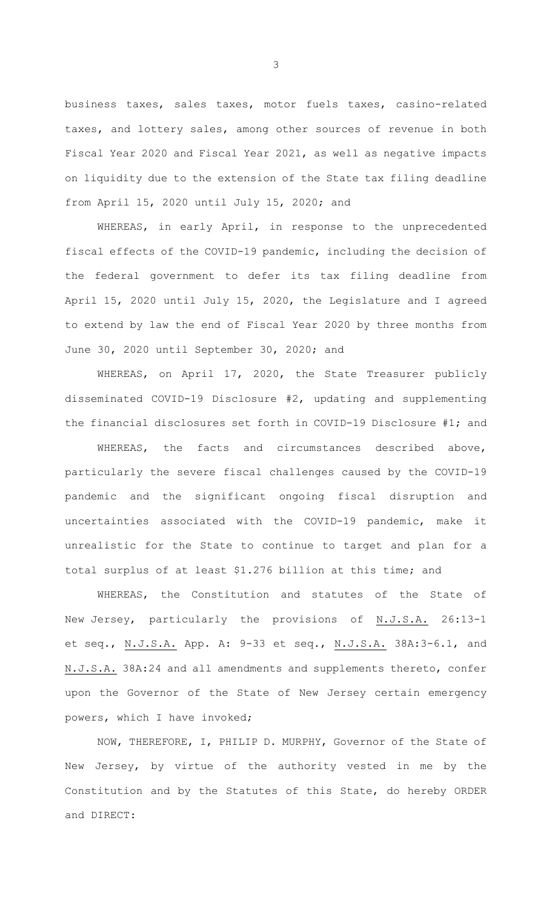business taxes, sales taxes, motor fuels taxes, casino-related taxes, and lottery sales, among other sources of revenue in both Fiscal Year 2020 and Fiscal Year 2021, as well as negative impacts on liquidity due to the extension of the State tax filing deadline from April 15, 2020 until July 15, 2020; and

WHEREAS, in early April, in response to the unprecedented fiscal effects of the COVID-19 pandemic, including the decision of the federal government to defer its tax filing deadline from April 15, 2020 until July 15, 2020, the Legislature and I agreed to extend by law the end of Fiscal Year 2020 by three months from June 30, 2020 until September 30, 2020; and

 WHEREAS, on April 17, 2020, the State Treasurer publicly disseminated COVID-19 Disclosure #2, updating and supplementing the financial disclosures set forth in COVID-19 Disclosure #1; and

 WHEREAS, the facts and circumstances described above, particularly the severe fiscal challenges caused by the COVID-19 pandemic and the significant ongoing fiscal disruption and uncertainties associated with the COVID-19 pandemic, make it unrealistic for the State to continue to target and plan for a total surplus of at least \$1.276 billion at this time; and

WHEREAS, the Constitution and statutes of the State of New Jersey, particularly the provisions of N.J.S.A. 26:13-1 et seq., N.J.S.A. App. A: 9-33 et seq., N.J.S.A. 38A:3-6.1, and N.J.S.A. 38A:24 and all amendments and supplements thereto, confer upon the Governor of the State of New Jersey certain emergency powers, which I have invoked;

NOW, THEREFORE, I, PHILIP D. MURPHY, Governor of the State of New Jersey, by virtue of the authority vested in me by the Constitution and by the Statutes of this State, do hereby ORDER and DIRECT:

3